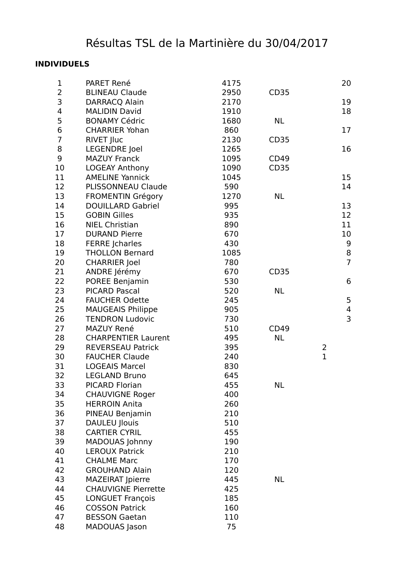## **INDIVIDUELS**

| 1              | PARET René                 | 4175 |                  | 20                      |
|----------------|----------------------------|------|------------------|-------------------------|
| $\overline{2}$ | <b>BLINEAU Claude</b>      | 2950 | CD <sub>35</sub> |                         |
| 3              | DARRACQ Alain              | 2170 |                  | 19                      |
| $\overline{4}$ | <b>MALIDIN David</b>       | 1910 |                  | 18                      |
| 5              | <b>BONAMY Cédric</b>       | 1680 | <b>NL</b>        |                         |
| 6              | <b>CHARRIER Yohan</b>      | 860  |                  | 17                      |
| $\overline{7}$ | <b>RIVET Jluc</b>          | 2130 | CD <sub>35</sub> |                         |
| 8              | <b>LEGENDRE</b> Joel       | 1265 |                  | 16                      |
| 9              | <b>MAZUY Franck</b>        | 1095 | CD49             |                         |
| 10             | <b>LOGEAY Anthony</b>      | 1090 | <b>CD35</b>      |                         |
| 11             | <b>AMELINE Yannick</b>     | 1045 |                  | 15                      |
| 12             | PLISSONNEAU Claude         | 590  |                  | 14                      |
| 13             | <b>FROMENTIN Grégory</b>   | 1270 | <b>NL</b>        |                         |
| 14             | <b>DOUILLARD Gabriel</b>   | 995  |                  | 13                      |
| 15             | <b>GOBIN Gilles</b>        | 935  |                  | 12                      |
| 16             | <b>NIEL Christian</b>      | 890  |                  | 11                      |
| 17             | <b>DURAND Pierre</b>       | 670  |                  | 10                      |
| 18             | <b>FERRE Jcharles</b>      | 430  |                  | 9                       |
| 19             | <b>THOLLON Bernard</b>     | 1085 |                  | $\bf 8$                 |
| 20             | <b>CHARRIER Joel</b>       | 780  |                  | $\overline{7}$          |
| 21             | ANDRE Jérémy               | 670  | <b>CD35</b>      |                         |
| 22             | POREE Benjamin             | 530  |                  | 6                       |
| 23             | <b>PICARD Pascal</b>       | 520  | <b>NL</b>        |                         |
| 24             | <b>FAUCHER Odette</b>      | 245  |                  | 5                       |
| 25             | <b>MAUGEAIS Philippe</b>   | 905  |                  | $\overline{\mathbf{4}}$ |
| 26             | <b>TENDRON Ludovic</b>     | 730  |                  | 3                       |
| 27             | <b>MAZUY René</b>          | 510  | <b>CD49</b>      |                         |
| 28             | <b>CHARPENTIER Laurent</b> | 495  | <b>NL</b>        |                         |
| 29             | <b>REVERSEAU Patrick</b>   | 395  |                  | $\overline{2}$          |
| 30             | <b>FAUCHER Claude</b>      | 240  |                  | $\mathbf 1$             |
| 31             | <b>LOGEAIS Marcel</b>      | 830  |                  |                         |
| 32             | <b>LEGLAND Bruno</b>       | 645  |                  |                         |
| 33             | PICARD Florian             | 455  | <b>NL</b>        |                         |
| 34             | <b>CHAUVIGNE Roger</b>     | 400  |                  |                         |
| 35             | <b>HERROIN Anita</b>       | 260  |                  |                         |
| 36             | PINEAU Benjamin            | 210  |                  |                         |
| 37             | <b>DAULEU Jlouis</b>       | 510  |                  |                         |
| 38             | <b>CARTIER CYRIL</b>       | 455  |                  |                         |
| 39             | MADOUAS Johnny             | 190  |                  |                         |
| 40             | <b>LEROUX Patrick</b>      | 210  |                  |                         |
| 41             | <b>CHALME Marc</b>         | 170  |                  |                         |
| 42             | <b>GROUHAND Alain</b>      | 120  |                  |                         |
| 43             | <b>MAZEIRAT Jpierre</b>    | 445  | <b>NL</b>        |                         |
| 44             | <b>CHAUVIGNE Pierrette</b> | 425  |                  |                         |
| 45             | <b>LONGUET François</b>    | 185  |                  |                         |
| 46             | <b>COSSON Patrick</b>      | 160  |                  |                         |
| 47             | <b>BESSON Gaetan</b>       | 110  |                  |                         |
| 48             | <b>MADOUAS Jason</b>       | 75   |                  |                         |